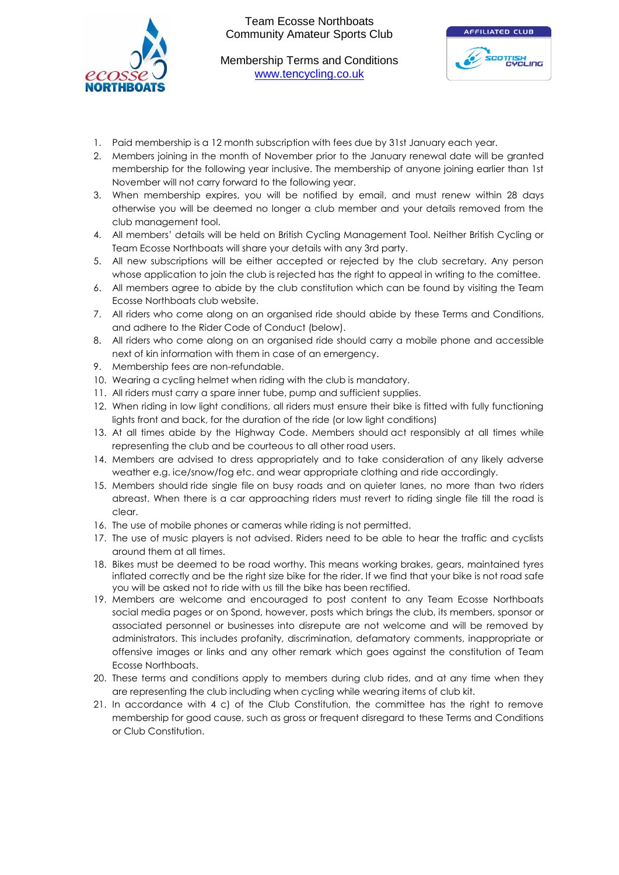

Membership Terms and Conditions [www.tencycling.co.uk](http://www.tencycling.co.uk/)



- 1. Paid membership is a 12 month subscription with fees due by 31st January each year.
- 2. Members joining in the month of November prior to the January renewal date will be granted membership for the following year inclusive. The membership of anyone joining earlier than 1st November will not carry forward to the following year.
- 3. When membership expires, you will be notified by email, and must renew within 28 days otherwise you will be deemed no longer a club member and your details removed from the club management tool.
- 4. All members' details will be held on British Cycling Management Tool. Neither British Cycling or Team Ecosse Northboats will share your details with any 3rd party.
- 5. All new subscriptions will be either accepted or rejected by the club secretary. Any person whose application to join the club is rejected has the right to appeal in writing to the comittee.
- 6. All members agree to abide by the club constitution which can be found by visiting the Team Ecosse Northboats club website.
- 7. All riders who come along on an organised ride should abide by these Terms and Conditions, and adhere to the Rider Code of Conduct (below).
- 8. All riders who come along on an organised ride should carry a mobile phone and accessible next of kin information with them in case of an emergency.
- 9. Membership fees are non-refundable.
- 10. Wearing a cycling helmet when riding with the club is mandatory.
- 11. All riders must carry a spare inner tube, pump and sufficient supplies.
- 12. When riding in low light conditions, all riders must ensure their bike is fitted with fully functioning lights front and back, for the duration of the ride (or low light conditions)
- 13. At all times abide by the Highway Code. Members should act responsibly at all times while representing the club and be courteous to all other road users.
- 14. Members are advised to dress appropriately and to take consideration of any likely adverse weather e.g. ice/snow/fog etc. and wear appropriate clothing and ride accordingly.
- 15. Members should ride single file on busy roads and on quieter lanes, no more than two riders abreast. When there is a car approaching riders must revert to riding single file till the road is clear.
- 16. The use of mobile phones or cameras while riding is not permitted.
- 17. The use of music players is not advised. Riders need to be able to hear the traffic and cyclists around them at all times.
- 18. Bikes must be deemed to be road worthy. This means working brakes, gears, maintained tyres inflated correctly and be the right size bike for the rider. If we find that your bike is not road safe you will be asked not to ride with us till the bike has been rectified.
- 19. Members are welcome and encouraged to post content to any Team Ecosse Northboats social media pages or on Spond, however, posts which brings the club, its members, sponsor or associated personnel or businesses into disrepute are not welcome and will be removed by administrators. This includes profanity, discrimination, defamatory comments, inappropriate or offensive images or links and any other remark which goes against the constitution of Team Ecosse Northboats.
- 20. These terms and conditions apply to members during club rides, and at any time when they are representing the club including when cycling while wearing items of club kit.
- 21. In accordance with 4 c) of the Club Constitution, the committee has the right to remove membership for good cause, such as gross or frequent disregard to these Terms and Conditions or Club Constitution.